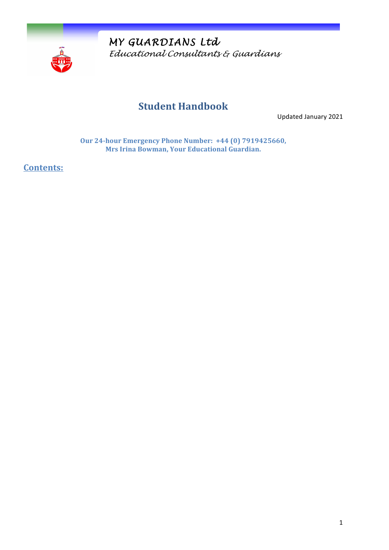

*MY GUARDIANS Ltd Educational Consultants & Guardians* 

# **Student Handbook**

Updated January 2021

**Our 24-hour Emergency Phone Number: +44 (0) 7919425660, Mrs Irina Bowman, Your Educational Guardian.** 

**Contents:**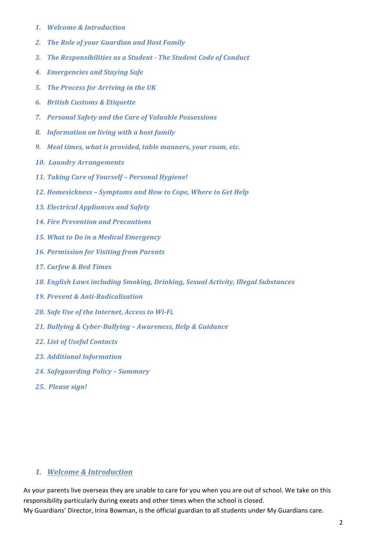- *1. Welcome & Introduction*
- 2. The Role of your Guardian and Host Family
- **3.** The Responsibilities as a Student The Student Code of Conduct
- *4. Emergencies and Staying Safe*
- **5.** The Process for Arriving in the UK
- *6. British Customs & Etiquette*
- *7. Personal Safety and the Care of Valuable Possessions*
- *8. Information on living with a host family*
- **9.** *Meal times, what is provided, table manners, your room, etc.*
- *10. Laundry Arrangements*
- 11. Taking Care of Yourself Personal Hygiene!
- 12. Homesickness Symptoms and How to Cope, Where to Get Help
- *13. Electrical Appliances and Safety*
- *14. Fire Prevention and Precautions*
- **15.** *What to Do in a Medical Emergency*
- **16. Permission for Visiting from Parents**
- *17. Curfew & Bed Times*
- 18. *English Laws including Smoking, Drinking, Sexual Activity, Illegal Substances*
- *19. Prevent & Anti-Radicalisation*
- 20. Safe Use of the Internet, Access to Wi-Fi.
- *21. Bullying & Cyber-Bullying – Awareness, Help & Guidance*
- *22. List of Useful Contacts*
- *23. Additional Information*
- *24. Safeguarding Policy – Summary*
- *25. Please sign!*

### *1. Welcome & Introduction*

As your parents live overseas they are unable to care for you when you are out of school. We take on this responsibility particularly during exeats and other times when the school is closed.

My Guardians' Director, Irina Bowman, is the official guardian to all students under My Guardians care.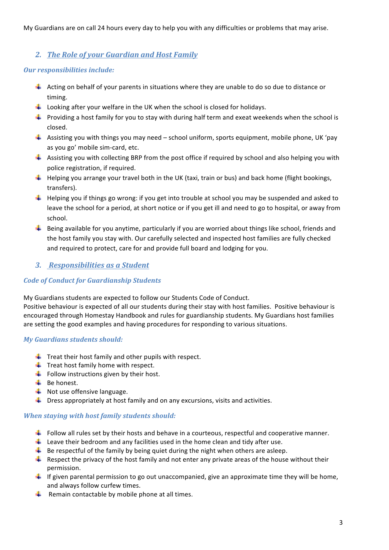My Guardians are on call 24 hours every day to help you with any difficulties or problems that may arise.

## 2. The Role of your Guardian and Host Family

### **Our responsibilities include:**

- $\overline{+}$  Acting on behalf of your parents in situations where they are unable to do so due to distance or timing.
- $\downarrow$  Looking after your welfare in the UK when the school is closed for holidays.
- $\ddot$  Providing a host family for you to stay with during half term and exeat weekends when the school is closed.
- $\frac{4}{3}$  Assisting you with things you may need school uniform, sports equipment, mobile phone, UK 'pay as you go' mobile sim-card, etc.
- $\pm$  Assisting you with collecting BRP from the post office if required by school and also helping you with police registration, if required.
- $\downarrow$  Helping you arrange your travel both in the UK (taxi, train or bus) and back home (flight bookings, transfers).
- $\ddot{\textbf{+}}$  Helping you if things go wrong: if you get into trouble at school you may be suspended and asked to leave the school for a period, at short notice or if you get ill and need to go to hospital, or away from school.
- $\ddotplus$  Being available for you anytime, particularly if you are worried about things like school, friends and the host family you stay with. Our carefully selected and inspected host families are fully checked and required to protect, care for and provide full board and lodging for you.

# **3.** Responsibilities as a Student

### *Code of Conduct for Guardianship Students*

My Guardians students are expected to follow our Students Code of Conduct.

Positive behaviour is expected of all our students during their stay with host families. Positive behaviour is encouraged through Homestay Handbook and rules for guardianship students. My Guardians host families are setting the good examples and having procedures for responding to various situations.

### *My Guardians students should:*

- $\downarrow$  Treat their host family and other pupils with respect.
- $\ddot{\phantom{1}}$  Treat host family home with respect.
- $\overline{\textbf{F}}$  Follow instructions given by their host.
- $\overline{\phantom{a}}$  Be honest.
- $\blacksquare$  Not use offensive language.
- $\downarrow$  Dress appropriately at host family and on any excursions, visits and activities.

#### *When staying with host family students should:*

- $\downarrow$  Follow all rules set by their hosts and behave in a courteous, respectful and cooperative manner.
- $\perp$  Leave their bedroom and any facilities used in the home clean and tidy after use.
- $\blacksquare$  Be respectful of the family by being quiet during the night when others are asleep.
- $\textcolor{red}{\textbf{4}}$  Respect the privacy of the host family and not enter any private areas of the house without their permission.
- If given parental permission to go out unaccompanied, give an approximate time they will be home, and always follow curfew times.
- $\downarrow$  Remain contactable by mobile phone at all times.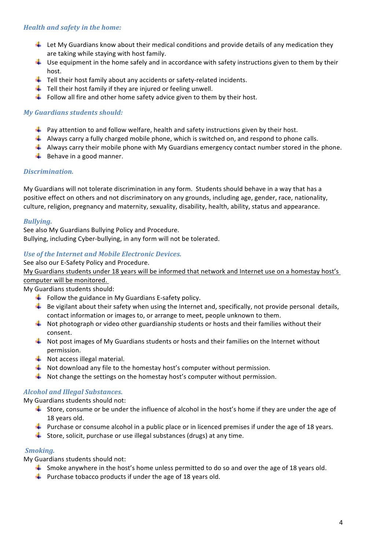### **Health and safety in the home:**

- $\perp$  Let My Guardians know about their medical conditions and provide details of any medication they are taking while staying with host family.
- $\downarrow$  Use equipment in the home safely and in accordance with safety instructions given to them by their host.
- $\downarrow$  Tell their host family about any accidents or safety-related incidents.
- $\downarrow$  Tell their host family if they are injured or feeling unwell.
- $\downarrow$  Follow all fire and other home safety advice given to them by their host.

### *My Guardians students should:*

- $\downarrow$  Pay attention to and follow welfare, health and safety instructions given by their host.
- $\downarrow$  Always carry a fully charged mobile phone, which is switched on, and respond to phone calls.
- $\downarrow$  Always carry their mobile phone with My Guardians emergency contact number stored in the phone.
- $\overline{\phantom{a}}$  Behave in a good manner.

### *Discrimination.*

My Guardians will not tolerate discrimination in any form. Students should behave in a way that has a positive effect on others and not discriminatory on any grounds, including age, gender, race, nationality, culture, religion, pregnancy and maternity, sexuality, disability, health, ability, status and appearance.

### *Bullying.*

See also My Guardians Bullying Policy and Procedure. Bullying, including Cyber-bullying, in any form will not be tolerated.

### Use of the Internet and Mobile Electronic Devices.

#### See also our E-Safety Policy and Procedure.

My Guardians students under 18 years will be informed that network and Internet use on a homestay host's

### computer will be monitored.

My Guardians students should:

- $\ddotplus$  Follow the guidance in My Guardians E-safety policy.
- $\ddot{\textbf{I}}$  Be vigilant about their safety when using the Internet and, specifically, not provide personal details, contact information or images to, or arrange to meet, people unknown to them.
- $\ddot{\textbf{+}}$  Not photograph or video other guardianship students or hosts and their families without their consent.
- $\blacksquare$  Not post images of My Guardians students or hosts and their families on the Internet without permission.
- $\blacksquare$  Not access illegal material.
- $\downarrow$  Not download any file to the homestay host's computer without permission.
- $\downarrow$  Not change the settings on the homestay host's computer without permission.

### *Alcohol and Illegal Substances.*

My Guardians students should not:

- Store, consume or be under the influence of alcohol in the host's home if they are under the age of 18 years old.
- Furchase or consume alcohol in a public place or in licenced premises if under the age of 18 years.
- $\downarrow$  Store, solicit, purchase or use illegal substances (drugs) at any time.

### **Smoking.**

My Guardians students should not:

- $\downarrow$  Smoke anywhere in the host's home unless permitted to do so and over the age of 18 years old.
- $\downarrow$  Purchase tobacco products if under the age of 18 years old.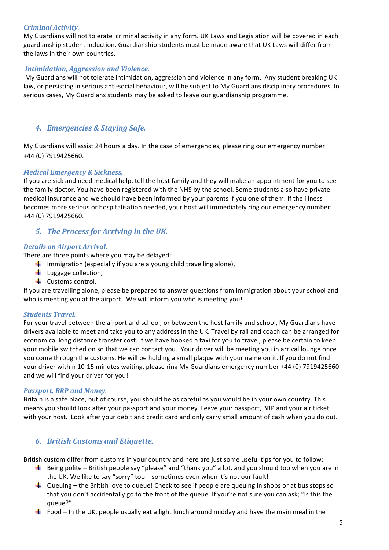### *Criminal Activity.*

My Guardians will not tolerate criminal activity in any form. UK Laws and Legislation will be covered in each guardianship student induction. Guardianship students must be made aware that UK Laws will differ from the laws in their own countries.

#### *Intimidation, Aggression and Violence.*

My Guardians will not tolerate intimidation, aggression and violence in any form. Any student breaking UK law, or persisting in serious anti-social behaviour, will be subject to My Guardians disciplinary procedures. In serious cases, My Guardians students may be asked to leave our guardianship programme.

### *4. Emergencies & Staying Safe.*

My Guardians will assist 24 hours a day. In the case of emergencies, please ring our emergency number +44 (0) 7919425660.

### *Medical Emergency & Sickness.*

If you are sick and need medical help, tell the host family and they will make an appointment for you to see the family doctor. You have been registered with the NHS by the school. Some students also have private medical insurance and we should have been informed by your parents if you one of them. If the illness becomes more serious or hospitalisation needed, your host will immediately ring our emergency number: +44 (0) 7919425660.

### **5.** The Process for Arriving in the UK.

### **Details on Airport Arrival.**

There are three points where you may be delayed:

- $\downarrow$  Immigration (especially if you are a young child travelling alone),
- $\downarrow$  Luggage collection,
- ← Customs control.

If you are travelling alone, please be prepared to answer questions from immigration about your school and who is meeting you at the airport. We will inform you who is meeting you!

#### *Students Travel.*

For your travel between the airport and school, or between the host family and school, My Guardians have drivers available to meet and take you to any address in the UK. Travel by rail and coach can be arranged for economical long distance transfer cost. If we have booked a taxi for you to travel, please be certain to keep your mobile switched on so that we can contact you. Your driver will be meeting you in arrival lounge once you come through the customs. He will be holding a small plaque with your name on it. If you do not find your driver within 10-15 minutes waiting, please ring My Guardians emergency number +44 (0) 7919425660 and we will find your driver for you!

#### **Passport, BRP and Money.**

Britain is a safe place, but of course, you should be as careful as you would be in your own country. This means you should look after your passport and your money. Leave your passport, BRP and your air ticket with your host. Look after your debit and credit card and only carry small amount of cash when you do out.

### *6. British Customs and Etiquette.*

British custom differ from customs in your country and here are just some useful tips for you to follow:

- Being polite British people say "please" and "thank you" a lot, and you should too when you are in the UK. We like to say "sorry" too  $-$  sometimes even when it's not our fault!
- **L** Queuing the British love to queue! Check to see if people are queuing in shops or at bus stops so that you don't accidentally go to the front of the queue. If you're not sure you can ask; "Is this the queue?"
- Food In the UK, people usually eat a light lunch around midday and have the main meal in the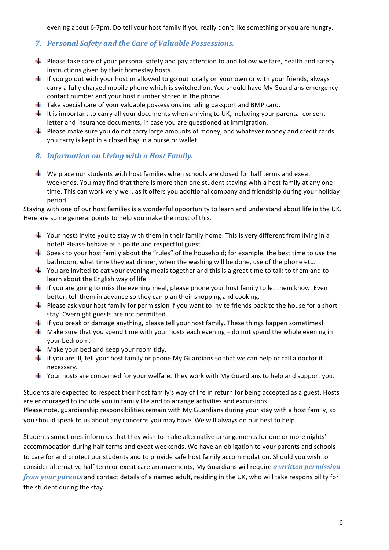evening about 6-7pm. Do tell your host family if you really don't like something or you are hungry.

- *7. Personal Safety and the Care of Valuable Possessions.*
- $\ddotplus$  Please take care of your personal safety and pay attention to and follow welfare, health and safety instructions given by their homestay hosts.
- $\downarrow$  If you go out with your host or allowed to go out locally on your own or with your friends, always carry a fully charged mobile phone which is switched on. You should have My Guardians emergency contact number and your host number stored in the phone.
- $\perp$  Take special care of your valuable possessions including passport and BMP card.
- It is important to carry all your documents when arriving to UK, including your parental consent letter and insurance documents, in case you are questioned at immigration.
- $\ddot{\textbf{+}}$  Please make sure you do not carry large amounts of money, and whatever money and credit cards you carry is kept in a closed bag in a purse or wallet.
- **8.** Information on Living with a Host Family.
- $\blacklozenge$  We place our students with host families when schools are closed for half terms and exeat weekends. You may find that there is more than one student staying with a host family at any one time. This can work very well, as it offers you additional company and friendship during your holiday period.

Staying with one of our host families is a wonderful opportunity to learn and understand about life in the UK. Here are some general points to help you make the most of this.

- $\ddot{\phantom{1}}$  Your hosts invite you to stay with them in their family home. This is very different from living in a hotel! Please behave as a polite and respectful guest.
- $\downarrow$  Speak to your host family about the "rules" of the household; for example, the best time to use the bathroom, what time they eat dinner, when the washing will be done, use of the phone etc.
- $\ddot{\phantom{1}}$  You are invited to eat your evening meals together and this is a great time to talk to them and to learn about the English way of life.
- $\blacksquare$  If you are going to miss the evening meal, please phone your host family to let them know. Even better, tell them in advance so they can plan their shopping and cooking.
- $\downarrow$  Please ask your host family for permission if you want to invite friends back to the house for a short stay. Overnight guests are not permitted.
- $\downarrow$  If you break or damage anything, please tell your host family. These things happen sometimes!
- $\perp$  Make sure that you spend time with your hosts each evening do not spend the whole evening in your bedroom.
- $\frac{1}{\sqrt{2}}$  Make your bed and keep your room tidy.
- If you are ill, tell your host family or phone My Guardians so that we can help or call a doctor if necessary.
- $\downarrow$  Your hosts are concerned for your welfare. They work with My Guardians to help and support you.

Students are expected to respect their host family's way of life in return for being accepted as a guest. Hosts are encouraged to include you in family life and to arrange activities and excursions. Please note, guardianship responsibilities remain with My Guardians during your stay with a host family, so you should speak to us about any concerns you may have. We will always do our best to help.

Students sometimes inform us that they wish to make alternative arrangements for one or more nights' accommodation during half terms and exeat weekends. We have an obligation to your parents and schools to care for and protect our students and to provide safe host family accommodation. Should you wish to consider alternative half term or exeat care arrangements, My Guardians will require *a written permission from your parents* and contact details of a named adult, residing in the UK, who will take responsibility for the student during the stay.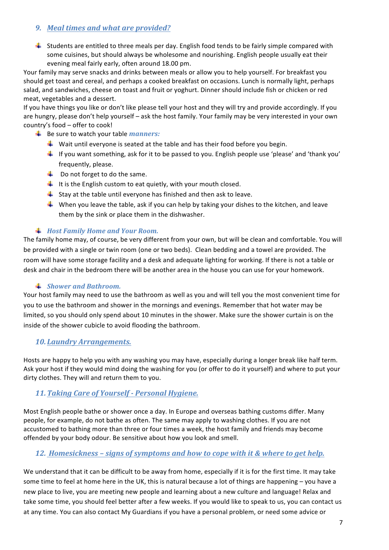### *9. Meal times and what are provided?*

 $\frac{1}{2}$  Students are entitled to three meals per day. English food tends to be fairly simple compared with some cuisines, but should always be wholesome and nourishing. English people usually eat their evening meal fairly early, often around 18.00 pm.

Your family may serve snacks and drinks between meals or allow you to help yourself. For breakfast you should get toast and cereal, and perhaps a cooked breakfast on occasions. Lunch is normally light, perhaps salad, and sandwiches, cheese on toast and fruit or yoghurt. Dinner should include fish or chicken or red meat, vegetables and a dessert.

If you have things you like or don't like please tell your host and they will try and provide accordingly. If you are hungry, please don't help yourself – ask the host family. Your family may be very interested in your own country's food - offer to cook!

- Be sure to watch your table *manners:* 
	- $\downarrow$  Wait until everyone is seated at the table and has their food before you begin.
	- If you want something, ask for it to be passed to you. English people use 'please' and 'thank you' frequently, please.
	- $\downarrow$  Do not forget to do the same.
	- $\downarrow$  It is the English custom to eat quietly, with your mouth closed.
	- $\downarrow$  Stay at the table until everyone has finished and then ask to leave.
	- When you leave the table, ask if you can help by taking your dishes to the kitchen, and leave them by the sink or place them in the dishwasher.

### $#$  Host Family Home and Your Room.

The family home may, of course, be very different from your own, but will be clean and comfortable. You will be provided with a single or twin room (one or two beds). Clean bedding and a towel are provided. The room will have some storage facility and a desk and adequate lighting for working. If there is not a table or desk and chair in the bedroom there will be another area in the house you can use for your homework.

### $\frac{1}{2}$  *Shower and Bathroom.*

Your host family may need to use the bathroom as well as you and will tell you the most convenient time for you to use the bathroom and shower in the mornings and evenings. Remember that hot water may be limited, so you should only spend about 10 minutes in the shower. Make sure the shower curtain is on the inside of the shower cubicle to avoid flooding the bathroom.

### *10.Laundry Arrangements.*

Hosts are happy to help you with any washing you may have, especially during a longer break like half term. Ask your host if they would mind doing the washing for you (or offer to do it yourself) and where to put your dirty clothes. They will and return them to you.

# 11. Taking Care of Yourself - Personal Hygiene.

Most English people bathe or shower once a day. In Europe and overseas bathing customs differ. Many people, for example, do not bathe as often. The same may apply to washing clothes. If you are not accustomed to bathing more than three or four times a week, the host family and friends may become offended by your body odour. Be sensitive about how you look and smell.

### 12. *Homesickness* – *signs of symptoms and how to cope with it & where to get help.*

We understand that it can be difficult to be away from home, especially if it is for the first time. It may take some time to feel at home here in the UK, this is natural because a lot of things are happening – you have a new place to live, you are meeting new people and learning about a new culture and language! Relax and take some time, you should feel better after a few weeks. If you would like to speak to us, you can contact us at any time. You can also contact My Guardians if you have a personal problem, or need some advice or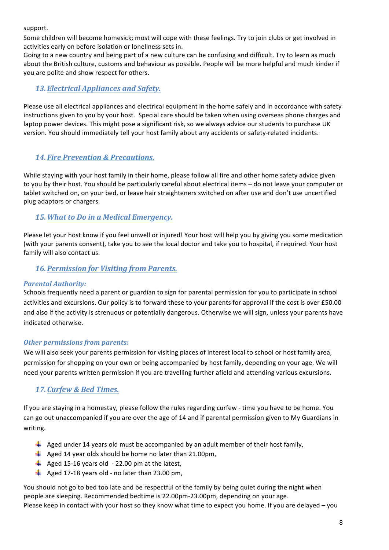support.

Some children will become homesick; most will cope with these feelings. Try to join clubs or get involved in activities early on before isolation or loneliness sets in.

Going to a new country and being part of a new culture can be confusing and difficult. Try to learn as much about the British culture, customs and behaviour as possible. People will be more helpful and much kinder if you are polite and show respect for others.

### 13. **Electrical Appliances and Safety.**

Please use all electrical appliances and electrical equipment in the home safely and in accordance with safety instructions given to you by your host. Special care should be taken when using overseas phone charges and laptop power devices. This might pose a significant risk, so we always advice our students to purchase UK version. You should immediately tell your host family about any accidents or safety-related incidents.

# *14. Fire Prevention & Precautions.*

While staying with your host family in their home, please follow all fire and other home safety advice given to you by their host. You should be particularly careful about electrical items – do not leave your computer or tablet switched on, on your bed, or leave hair straighteners switched on after use and don't use uncertified plug adaptors or chargers.

### **15. What to Do in a Medical Emergency.**

Please let your host know if you feel unwell or injured! Your host will help you by giving you some medication (with your parents consent), take you to see the local doctor and take you to hospital, if required. Your host family will also contact us.

### 16. Permission for Visiting from Parents.

### **Parental Authority:**

Schools frequently need a parent or guardian to sign for parental permission for you to participate in school activities and excursions. Our policy is to forward these to your parents for approval if the cost is over £50.00 and also if the activity is strenuous or potentially dangerous. Otherwise we will sign, unless your parents have indicated otherwise.

### **Other permissions from parents:**

We will also seek your parents permission for visiting places of interest local to school or host family area, permission for shopping on your own or being accompanied by host family, depending on your age. We will need your parents written permission if you are travelling further afield and attending various excursions.

# *17.Curfew & Bed Times.*

If you are staying in a homestay, please follow the rules regarding curfew - time you have to be home. You can go out unaccompanied if you are over the age of 14 and if parental permission given to My Guardians in writing.

- $\overline{+}$  Aged under 14 years old must be accompanied by an adult member of their host family,
- $\downarrow$  Aged 14 year olds should be home no later than 21.00pm,
- $\overline{\text{4}}$  Aged 15-16 years old 22.00 pm at the latest,
- $\downarrow$  Aged 17-18 years old no later than 23.00 pm,

You should not go to bed too late and be respectful of the family by being quiet during the night when people are sleeping. Recommended bedtime is 22.00pm-23.00pm, depending on your age. Please keep in contact with your host so they know what time to expect you home. If you are delayed – you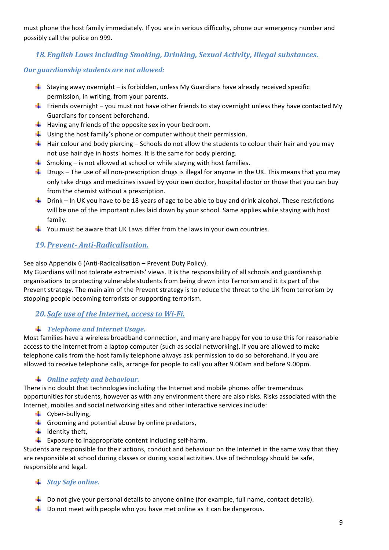must phone the host family immediately. If you are in serious difficulty, phone our emergency number and possibly call the police on 999.

# **18. English Laws including Smoking, Drinking, Sexual Activity, Illegal substances.**

### **Our guardianship students are not allowed:**

- $\frac{1}{2}$  Staying away overnight is forbidden, unless My Guardians have already received specific permission, in writing, from your parents.
- Friends overnight you must not have other friends to stay overnight unless they have contacted My Guardians for consent beforehand.
- $\downarrow$  Having any friends of the opposite sex in your bedroom.
- $\downarrow$  Using the host family's phone or computer without their permission.
- $\ddot{\textbf{+}}$  Hair colour and body piercing Schools do not allow the students to colour their hair and you may not use hair dye in hosts' homes. It is the same for body piercing.
- $\downarrow$  Smoking is not allowed at school or while staying with host families.
- $\downarrow$  Drugs The use of all non-prescription drugs is illegal for anyone in the UK. This means that you may only take drugs and medicines issued by your own doctor, hospital doctor or those that you can buy from the chemist without a prescription.
- Fig. Drink In UK you have to be 18 years of age to be able to buy and drink alcohol. These restrictions will be one of the important rules laid down by your school. Same applies while staying with host family.
- $\ddot{\textbf{u}}$  You must be aware that UK Laws differ from the laws in your own countries.

# *19.Prevent- Anti-Radicalisation.*

See also Appendix 6 (Anti-Radicalisation – Prevent Duty Policy).

My Guardians will not tolerate extremists' views. It is the responsibility of all schools and guardianship organisations to protecting vulnerable students from being drawn into Terrorism and it its part of the Prevent strategy. The main aim of the Prevent strategy is to reduce the threat to the UK from terrorism by stopping people becoming terrorists or supporting terrorism.

# **20.** *Safe use of the Internet, access to Wi-Fi.*

### *Telephone and Internet Usage.*

Most families have a wireless broadband connection, and many are happy for you to use this for reasonable access to the Internet from a laptop computer (such as social networking). If you are allowed to make telephone calls from the host family telephone always ask permission to do so beforehand. If you are allowed to receive telephone calls, arrange for people to call you after 9.00am and before 9.00pm.

# **↓** *Online safety and behaviour.*

There is no doubt that technologies including the Internet and mobile phones offer tremendous opportunities for students, however as with any environment there are also risks. Risks associated with the Internet, mobiles and social networking sites and other interactive services include:

- $\leftarrow$  Cyber-bullying,
- $\overline{\phantom{a} \bullet}$  Grooming and potential abuse by online predators,
- $\downarrow$  Identity theft,
- $\downarrow$  Exposure to inappropriate content including self-harm.

Students are responsible for their actions, conduct and behaviour on the Internet in the same way that they are responsible at school during classes or during social activities. Use of technology should be safe, responsible and legal.

# *Stay Safe online.*

- $\pm$  Do not give your personal details to anyone online (for example, full name, contact details).
- $\ddot{\phantom{1}}$  Do not meet with people who you have met online as it can be dangerous.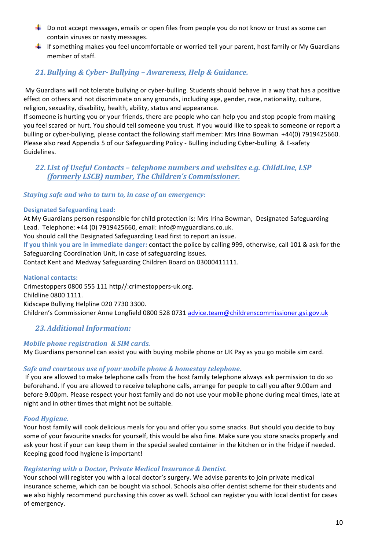- $\ddot{\textbf{+}}$  Do not accept messages, emails or open files from people you do not know or trust as some can contain viruses or nasty messages.
- $\ddotplus$  If something makes you feel uncomfortable or worried tell your parent, host family or My Guardians member of staff.

### *21.Bullying & Cyber- Bullying – Awareness, Help & Guidance.*

My Guardians will not tolerate bullying or cyber-bulling. Students should behave in a way that has a positive effect on others and not discriminate on any grounds, including age, gender, race, nationality, culture, religion, sexuality, disability, health, ability, status and appearance.

If someone is hurting you or your friends, there are people who can help you and stop people from making you feel scared or hurt. You should tell someone you trust. If you would like to speak to someone or report a bulling or cyber-bullying, please contact the following staff member: Mrs Irina Bowman +44(0) 7919425660. Please also read Appendix 5 of our Safeguarding Policy - Bulling including Cyber-bulling & E-safety Guidelines.

### **22.** List of Useful Contacts - telephone numbers and websites e.g. ChildLine, LSP *(formerly LSCB) number, The Children's Commissioner.*

### *Staying safe and who to turn to, in case of an emergency:*

### **Designated Safeguarding Lead:**

At My Guardians person responsible for child protection is: Mrs Irina Bowman, Designated Safeguarding Lead. Telephone: +44 (0) 7919425660, email: info@myguardians.co.uk. You should call the Designated Safeguarding Lead first to report an issue. **If you think you are in immediate danger:** contact the police by calling 999, otherwise, call 101 & ask for the Safeguarding Coordination Unit, in case of safeguarding issues. Contact Kent and Medway Safeguarding Children Board on 03000411111.

#### **National contacts:**

Crimestoppers 0800 555 111 http//:crimestoppers-uk.org. Childline 0800 1111. Kidscape Bullying Helpline 020 7730 3300. Children's Commissioner Anne Longfield 0800 528 0731 advice.team@childrenscommissioner.gsi.gov.uk

### 23. Additional Information:

### *Mobile phone registration & SIM cards.*

My Guardians personnel can assist you with buying mobile phone or UK Pay as you go mobile sim card.

### Safe and courteous use of your mobile phone & homestay telephone.

If you are allowed to make telephone calls from the host family telephone always ask permission to do so beforehand. If you are allowed to receive telephone calls, arrange for people to call you after 9.00am and before 9.00pm. Please respect your host family and do not use your mobile phone during meal times, late at night and in other times that might not be suitable.

### **Food Hygiene.**

Your host family will cook delicious meals for you and offer you some snacks. But should you decide to buy some of your favourite snacks for yourself, this would be also fine. Make sure you store snacks properly and ask your host if your can keep them in the special sealed container in the kitchen or in the fridge if needed. Keeping good food hygiene is important!

### *Registering with a Doctor, Private Medical Insurance & Dentist.*

Your school will register you with a local doctor's surgery. We advise parents to join private medical insurance scheme, which can be bought via school. Schools also offer dentist scheme for their students and we also highly recommend purchasing this cover as well. School can register you with local dentist for cases of emergency.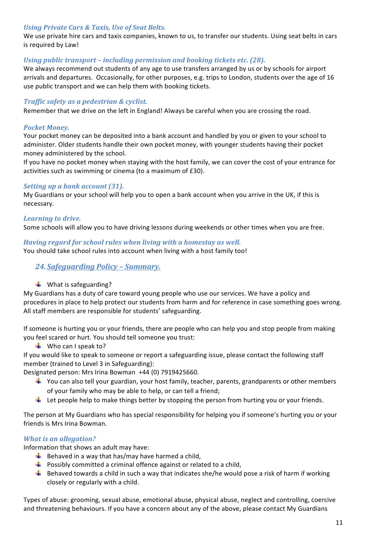#### *Using Private Cars & Taxis, Use of Seat Belts.*

We use private hire cars and taxis companies, known to us, to transfer our students. Using seat belts in cars is required by Law!

#### *Using public transport – including permission and booking tickets etc.* (28).

We always recommend out students of any age to use transfers arranged by us or by schools for airport arrivals and departures. Occasionally, for other purposes, e.g. trips to London, students over the age of 16 use public transport and we can help them with booking tickets.

### *Traffic safety as a pedestrian & cyclist.*

Remember that we drive on the left in England! Always be careful when you are crossing the road.

#### *Pocket Money.*

Your pocket money can be deposited into a bank account and handled by you or given to your school to administer. Older students handle their own pocket money, with younger students having their pocket money administered by the school.

If you have no pocket money when staying with the host family, we can cover the cost of your entrance for activities such as swimming or cinema (to a maximum of £30).

### *Setting up a bank account (31).*

My Guardians or your school will help you to open a bank account when you arrive in the UK, if this is necessary. 

### Learning to drive.

Some schools will allow you to have driving lessons during weekends or other times when you are free.

#### *Having regard for school rules when living with a homestay as well.*

You should take school rules into account when living with a host family too!

24. *Safeguarding Policy - Summary.* 

#### $\downarrow$  What is safeguarding?

My Guardians has a duty of care toward young people who use our services. We have a policy and procedures in place to help protect our students from harm and for reference in case something goes wrong. All staff members are responsible for students' safeguarding.

If someone is hurting you or your friends, there are people who can help you and stop people from making you feel scared or hurt. You should tell someone you trust:

 $\downarrow$  Who can I speak to?

If you would like to speak to someone or report a safeguarding issue, please contact the following staff member (trained to Level 3 in Safeguarding):

Designated person: Mrs Irina Bowman +44 (0) 7919425660.

- $\ddot{\phantom{1}}$  You can also tell your guardian, your host family, teacher, parents, grandparents or other members of your family who may be able to help, or can tell a friend;
- $\perp$  Let people help to make things better by stopping the person from hurting you or your friends.

The person at My Guardians who has special responsibility for helping you if someone's hurting you or your friends is Mrs Irina Bowman.

#### *What is an allegation?*

Information that shows an adult may have:

- $\overline{\textbf{B}}$  Behaved in a way that has/may have harmed a child,
- $\ddotplus$  Possibly committed a criminal offence against or related to a child,
- $\blacksquare$  Behaved towards a child in such a way that indicates she/he would pose a risk of harm if working closely or regularly with a child.

Types of abuse: grooming, sexual abuse, emotional abuse, physical abuse, neglect and controlling, coercive and threatening behaviours. If you have a concern about any of the above, please contact My Guardians